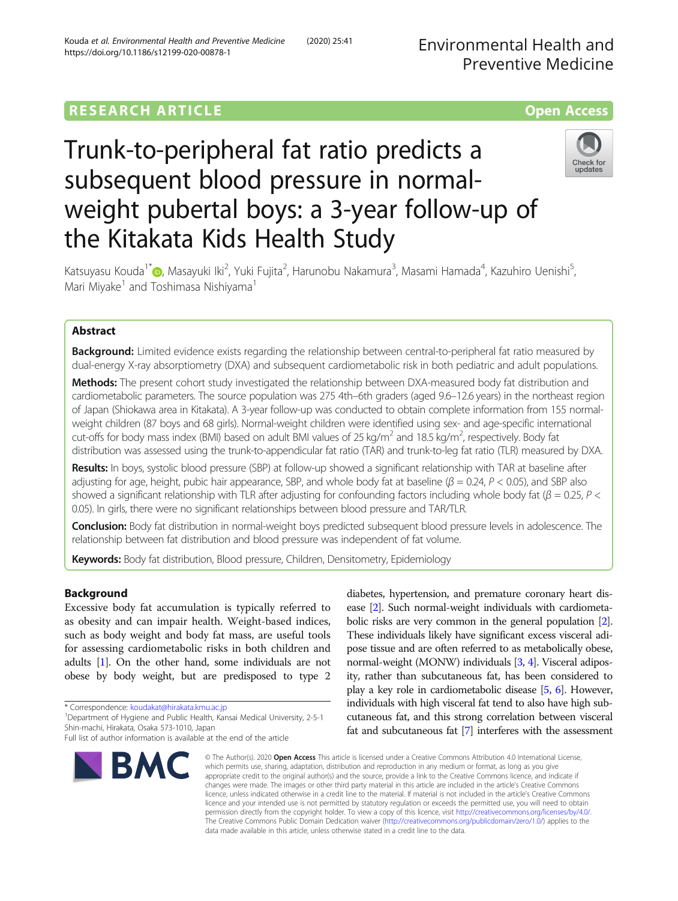## **RESEARCH ARTICLE Example 2014 12:30 The Contract of Contract ACCESS**

# Trunk-to-peripheral fat ratio predicts a subsequent blood pressure in normalweight pubertal boys: a 3-year follow-up of the Kitakata Kids Health Study



Katsuyasu Kouda<sup>1\*</sup>@[,](http://orcid.org/0000-0002-0203-4824) Masayuki Iki<sup>2</sup>, Yuki Fujita<sup>2</sup>, Harunobu Nakamura<sup>3</sup>, Masami Hamada<sup>4</sup>, Kazuhiro Uenishi<sup>5</sup> , Mari Miyake<sup>1</sup> and Toshimasa Nishiyama<sup>1</sup>

### Abstract

**Background:** Limited evidence exists regarding the relationship between central-to-peripheral fat ratio measured by dual-energy X-ray absorptiometry (DXA) and subsequent cardiometabolic risk in both pediatric and adult populations.

Methods: The present cohort study investigated the relationship between DXA-measured body fat distribution and cardiometabolic parameters. The source population was 275 4th–6th graders (aged 9.6–12.6 years) in the northeast region of Japan (Shiokawa area in Kitakata). A 3-year follow-up was conducted to obtain complete information from 155 normalweight children (87 boys and 68 girls). Normal-weight children were identified using sex- and age-specific international cut-offs for body mass index (BMI) based on adult BMI values of 25 kg/m<sup>2</sup> and 18.5 kg/m<sup>2</sup>, respectively. Body fat distribution was assessed using the trunk-to-appendicular fat ratio (TAR) and trunk-to-leg fat ratio (TLR) measured by DXA.

Results: In boys, systolic blood pressure (SBP) at follow-up showed a significant relationship with TAR at baseline after adjusting for age, height, pubic hair appearance, SBP, and whole body fat at baseline ( $\beta$  = 0.24, P < 0.05), and SBP also showed a significant relationship with TLR after adjusting for confounding factors including whole body fat ( $\beta$  = 0.25, P < 0.05). In girls, there were no significant relationships between blood pressure and TAR/TLR.

Conclusion: Body fat distribution in normal-weight boys predicted subsequent blood pressure levels in adolescence. The relationship between fat distribution and blood pressure was independent of fat volume.

Keywords: Body fat distribution, Blood pressure, Children, Densitometry, Epidemiology

#### Background

Excessive body fat accumulation is typically referred to as obesity and can impair health. Weight-based indices, such as body weight and body fat mass, are useful tools for assessing cardiometabolic risks in both children and adults [[1](#page-7-0)]. On the other hand, some individuals are not obese by body weight, but are predisposed to type 2

\* Correspondence: [koudakat@hirakata.kmu.ac.jp](mailto:koudakat@hirakata.kmu.ac.jp) <sup>1</sup>

Full list of author information is available at the end of the article



diabetes, hypertension, and premature coronary heart disease [[2](#page-7-0)]. Such normal-weight individuals with cardiometabolic risks are very common in the general population [[2](#page-7-0)]. These individuals likely have significant excess visceral adipose tissue and are often referred to as metabolically obese, normal-weight (MONW) individuals [[3](#page-7-0), [4\]](#page-7-0). Visceral adiposity, rather than subcutaneous fat, has been considered to play a key role in cardiometabolic disease [\[5,](#page-7-0) [6\]](#page-7-0). However, individuals with high visceral fat tend to also have high subcutaneous fat, and this strong correlation between visceral fat and subcutaneous fat [\[7](#page-7-0)] interferes with the assessment

© The Author(s), 2020 **Open Access** This article is licensed under a Creative Commons Attribution 4.0 International License, which permits use, sharing, adaptation, distribution and reproduction in any medium or format, as long as you give appropriate credit to the original author(s) and the source, provide a link to the Creative Commons licence, and indicate if changes were made. The images or other third party material in this article are included in the article's Creative Commons licence, unless indicated otherwise in a credit line to the material. If material is not included in the article's Creative Commons licence and your intended use is not permitted by statutory regulation or exceeds the permitted use, you will need to obtain permission directly from the copyright holder. To view a copy of this licence, visit [http://creativecommons.org/licenses/by/4.0/.](http://creativecommons.org/licenses/by/4.0/) The Creative Commons Public Domain Dedication waiver [\(http://creativecommons.org/publicdomain/zero/1.0/](http://creativecommons.org/publicdomain/zero/1.0/)) applies to the data made available in this article, unless otherwise stated in a credit line to the data.

<sup>&</sup>lt;sup>1</sup>Department of Hygiene and Public Health, Kansai Medical University, 2-5-1 Shin-machi, Hirakata, Osaka 573-1010, Japan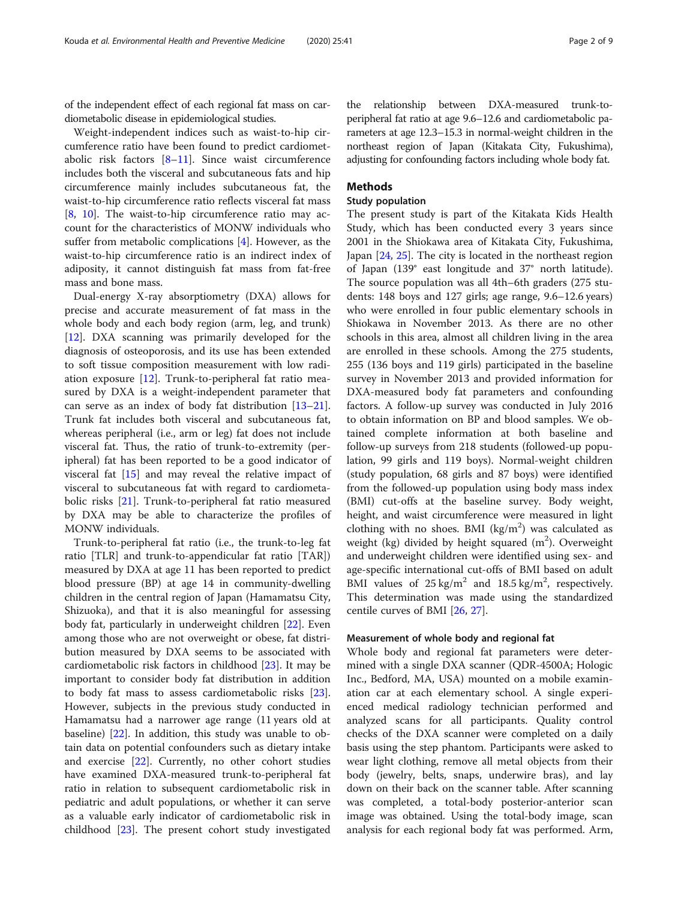of the independent effect of each regional fat mass on cardiometabolic disease in epidemiological studies.

Weight-independent indices such as waist-to-hip circumference ratio have been found to predict cardiometabolic risk factors [\[8](#page-7-0)–[11\]](#page-7-0). Since waist circumference includes both the visceral and subcutaneous fats and hip circumference mainly includes subcutaneous fat, the waist-to-hip circumference ratio reflects visceral fat mass [[8,](#page-7-0) [10\]](#page-7-0). The waist-to-hip circumference ratio may account for the characteristics of MONW individuals who suffer from metabolic complications [\[4](#page-7-0)]. However, as the waist-to-hip circumference ratio is an indirect index of adiposity, it cannot distinguish fat mass from fat-free mass and bone mass.

Dual-energy X-ray absorptiometry (DXA) allows for precise and accurate measurement of fat mass in the whole body and each body region (arm, leg, and trunk) [[12\]](#page-7-0). DXA scanning was primarily developed for the diagnosis of osteoporosis, and its use has been extended to soft tissue composition measurement with low radiation exposure [[12\]](#page-7-0). Trunk-to-peripheral fat ratio measured by DXA is a weight-independent parameter that can serve as an index of body fat distribution [[13](#page-7-0)–[21](#page-8-0)]. Trunk fat includes both visceral and subcutaneous fat, whereas peripheral (i.e., arm or leg) fat does not include visceral fat. Thus, the ratio of trunk-to-extremity (peripheral) fat has been reported to be a good indicator of visceral fat [\[15\]](#page-7-0) and may reveal the relative impact of visceral to subcutaneous fat with regard to cardiometabolic risks [[21\]](#page-8-0). Trunk-to-peripheral fat ratio measured by DXA may be able to characterize the profiles of MONW individuals.

Trunk-to-peripheral fat ratio (i.e., the trunk-to-leg fat ratio [TLR] and trunk-to-appendicular fat ratio [TAR]) measured by DXA at age 11 has been reported to predict blood pressure (BP) at age 14 in community-dwelling children in the central region of Japan (Hamamatsu City, Shizuoka), and that it is also meaningful for assessing body fat, particularly in underweight children [\[22\]](#page-8-0). Even among those who are not overweight or obese, fat distribution measured by DXA seems to be associated with cardiometabolic risk factors in childhood [[23](#page-8-0)]. It may be important to consider body fat distribution in addition to body fat mass to assess cardiometabolic risks [\[23](#page-8-0)]. However, subjects in the previous study conducted in Hamamatsu had a narrower age range (11 years old at baseline) [\[22](#page-8-0)]. In addition, this study was unable to obtain data on potential confounders such as dietary intake and exercise [[22](#page-8-0)]. Currently, no other cohort studies have examined DXA-measured trunk-to-peripheral fat ratio in relation to subsequent cardiometabolic risk in pediatric and adult populations, or whether it can serve as a valuable early indicator of cardiometabolic risk in childhood [[23\]](#page-8-0). The present cohort study investigated

the relationship between DXA-measured trunk-toperipheral fat ratio at age 9.6–12.6 and cardiometabolic parameters at age 12.3–15.3 in normal-weight children in the northeast region of Japan (Kitakata City, Fukushima), adjusting for confounding factors including whole body fat.

#### Methods

#### Study population

The present study is part of the Kitakata Kids Health Study, which has been conducted every 3 years since 2001 in the Shiokawa area of Kitakata City, Fukushima, Japan [\[24](#page-8-0), [25](#page-8-0)]. The city is located in the northeast region of Japan (139° east longitude and 37° north latitude). The source population was all 4th–6th graders (275 students: 148 boys and 127 girls; age range, 9.6–12.6 years) who were enrolled in four public elementary schools in Shiokawa in November 2013. As there are no other schools in this area, almost all children living in the area are enrolled in these schools. Among the 275 students, 255 (136 boys and 119 girls) participated in the baseline survey in November 2013 and provided information for DXA-measured body fat parameters and confounding factors. A follow-up survey was conducted in July 2016 to obtain information on BP and blood samples. We obtained complete information at both baseline and follow-up surveys from 218 students (followed-up population, 99 girls and 119 boys). Normal-weight children (study population, 68 girls and 87 boys) were identified from the followed-up population using body mass index (BMI) cut-offs at the baseline survey. Body weight, height, and waist circumference were measured in light clothing with no shoes. BMI ( $\text{kg/m}^2$ ) was calculated as weight (kg) divided by height squared  $(m^2)$ . Overweight and underweight children were identified using sex- and age-specific international cut-offs of BMI based on adult BMI values of  $25 \text{ kg/m}^2$  and  $18.5 \text{ kg/m}^2$ , respectively. This determination was made using the standardized centile curves of BMI [[26,](#page-8-0) [27](#page-8-0)].

#### Measurement of whole body and regional fat

Whole body and regional fat parameters were determined with a single DXA scanner (QDR-4500A; Hologic Inc., Bedford, MA, USA) mounted on a mobile examination car at each elementary school. A single experienced medical radiology technician performed and analyzed scans for all participants. Quality control checks of the DXA scanner were completed on a daily basis using the step phantom. Participants were asked to wear light clothing, remove all metal objects from their body (jewelry, belts, snaps, underwire bras), and lay down on their back on the scanner table. After scanning was completed, a total-body posterior-anterior scan image was obtained. Using the total-body image, scan analysis for each regional body fat was performed. Arm,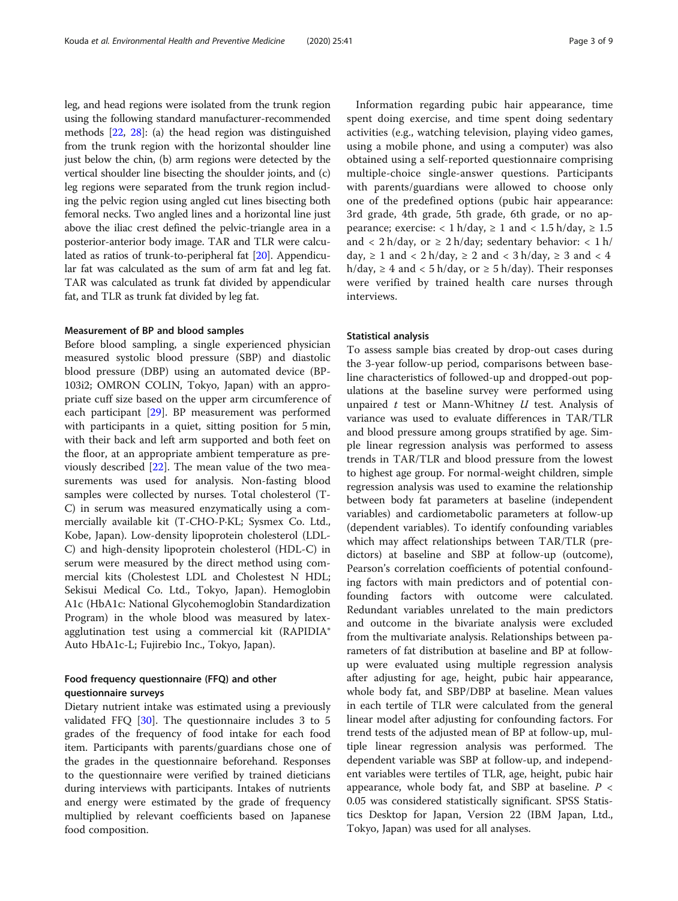leg, and head regions were isolated from the trunk region using the following standard manufacturer-recommended methods [[22](#page-8-0), [28](#page-8-0)]: (a) the head region was distinguished from the trunk region with the horizontal shoulder line just below the chin, (b) arm regions were detected by the vertical shoulder line bisecting the shoulder joints, and (c) leg regions were separated from the trunk region including the pelvic region using angled cut lines bisecting both femoral necks. Two angled lines and a horizontal line just above the iliac crest defined the pelvic-triangle area in a posterior-anterior body image. TAR and TLR were calculated as ratios of trunk-to-peripheral fat [\[20\]](#page-8-0). Appendicular fat was calculated as the sum of arm fat and leg fat. TAR was calculated as trunk fat divided by appendicular fat, and TLR as trunk fat divided by leg fat.

#### Measurement of BP and blood samples

Before blood sampling, a single experienced physician measured systolic blood pressure (SBP) and diastolic blood pressure (DBP) using an automated device (BP-103i2; OMRON COLIN, Tokyo, Japan) with an appropriate cuff size based on the upper arm circumference of each participant [\[29\]](#page-8-0). BP measurement was performed with participants in a quiet, sitting position for 5 min, with their back and left arm supported and both feet on the floor, at an appropriate ambient temperature as previously described [\[22\]](#page-8-0). The mean value of the two measurements was used for analysis. Non-fasting blood samples were collected by nurses. Total cholesterol (T-C) in serum was measured enzymatically using a commercially available kit (T-CHO-P·KL; Sysmex Co. Ltd., Kobe, Japan). Low-density lipoprotein cholesterol (LDL-C) and high-density lipoprotein cholesterol (HDL-C) in serum were measured by the direct method using commercial kits (Cholestest LDL and Cholestest N HDL; Sekisui Medical Co. Ltd., Tokyo, Japan). Hemoglobin A1c (HbA1c: National Glycohemoglobin Standardization Program) in the whole blood was measured by latexagglutination test using a commercial kit (RAPIDIA® Auto HbA1c-L; Fujirebio Inc., Tokyo, Japan).

#### Food frequency questionnaire (FFQ) and other questionnaire surveys

Dietary nutrient intake was estimated using a previously validated FFQ [[30](#page-8-0)]. The questionnaire includes 3 to 5 grades of the frequency of food intake for each food item. Participants with parents/guardians chose one of the grades in the questionnaire beforehand. Responses to the questionnaire were verified by trained dieticians during interviews with participants. Intakes of nutrients and energy were estimated by the grade of frequency multiplied by relevant coefficients based on Japanese food composition.

Information regarding pubic hair appearance, time spent doing exercise, and time spent doing sedentary activities (e.g., watching television, playing video games, using a mobile phone, and using a computer) was also obtained using a self-reported questionnaire comprising multiple-choice single-answer questions. Participants with parents/guardians were allowed to choose only one of the predefined options (pubic hair appearance: 3rd grade, 4th grade, 5th grade, 6th grade, or no appearance; exercise: < 1 h/day,  $\geq 1$  and < 1.5 h/day,  $\geq 1.5$ and < 2 h/day, or  $\geq$  2 h/day; sedentary behavior: < 1 h/ day,  $\geq 1$  and  $\lt 2$  h/day,  $\geq 2$  and  $\lt 3$  h/day,  $\geq 3$  and  $\lt 4$ h/day,  $\geq 4$  and  $\lt$  5 h/day, or  $\geq 5$  h/day). Their responses were verified by trained health care nurses through interviews.

#### Statistical analysis

To assess sample bias created by drop-out cases during the 3-year follow-up period, comparisons between baseline characteristics of followed-up and dropped-out populations at the baseline survey were performed using unpaired  $t$  test or Mann-Whitney  $U$  test. Analysis of variance was used to evaluate differences in TAR/TLR and blood pressure among groups stratified by age. Simple linear regression analysis was performed to assess trends in TAR/TLR and blood pressure from the lowest to highest age group. For normal-weight children, simple regression analysis was used to examine the relationship between body fat parameters at baseline (independent variables) and cardiometabolic parameters at follow-up (dependent variables). To identify confounding variables which may affect relationships between TAR/TLR (predictors) at baseline and SBP at follow-up (outcome), Pearson's correlation coefficients of potential confounding factors with main predictors and of potential confounding factors with outcome were calculated. Redundant variables unrelated to the main predictors and outcome in the bivariate analysis were excluded from the multivariate analysis. Relationships between parameters of fat distribution at baseline and BP at followup were evaluated using multiple regression analysis after adjusting for age, height, pubic hair appearance, whole body fat, and SBP/DBP at baseline. Mean values in each tertile of TLR were calculated from the general linear model after adjusting for confounding factors. For trend tests of the adjusted mean of BP at follow-up, multiple linear regression analysis was performed. The dependent variable was SBP at follow-up, and independent variables were tertiles of TLR, age, height, pubic hair appearance, whole body fat, and SBP at baseline.  $P <$ 0.05 was considered statistically significant. SPSS Statistics Desktop for Japan, Version 22 (IBM Japan, Ltd., Tokyo, Japan) was used for all analyses.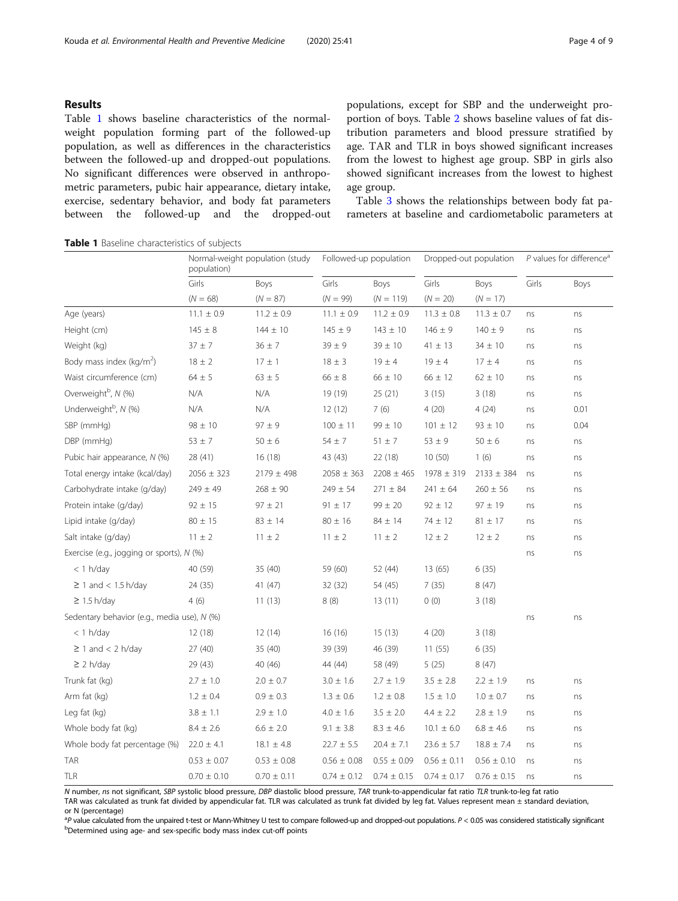#### Results

Table 1 shows baseline characteristics of the normalweight population forming part of the followed-up population, as well as differences in the characteristics between the followed-up and dropped-out populations. No significant differences were observed in anthropometric parameters, pubic hair appearance, dietary intake, exercise, sedentary behavior, and body fat parameters between the followed-up and the dropped-out populations, except for SBP and the underweight proportion of boys. Table [2](#page-4-0) shows baseline values of fat distribution parameters and blood pressure stratified by age. TAR and TLR in boys showed significant increases from the lowest to highest age group. SBP in girls also showed significant increases from the lowest to highest age group.

Table [3](#page-4-0) shows the relationships between body fat parameters at baseline and cardiometabolic parameters at

Normal-weight population (study population) Followed-up population Dropped-out population  $P$  values for difference<sup>a</sup> Girls Boys Girls Boys Girls Boys Girls Boys  $(N = 68)$   $(N = 87)$   $(N = 99)$   $(N = 119)$   $(N = 20)$   $(N = 17)$ Age (years) 11.1 ± 0.9 11.2 ± 0.9 11.1 ± 0.9 11.2 ± 0.9 11.3 ± 0.8 11.3 ± 0.7 ns ns Height (cm) 145 ± 8 144 ± 10 145 ± 9 143 ± 10 146 ± 9 140 ± 9 ns ns Weight (kg) 37 ± 7 36 ± 7 39 ± 9 39 ± 10 41 ± 13 34 ± 10 ns ns Body mass index ( $kg/m<sup>2</sup>$ ) ) 18 ± 2 17 ± 1 18 ± 3 19 ± 4 19 ± 4 17 ± 4 ns ns Waist circumference (cm)  $64 \pm 5$   $63 \pm 5$   $66 \pm 8$   $66 \pm 10$   $66 \pm 12$   $62 \pm 10$  ns ns Overweight<sup>b</sup>, N (%) , N (%) N/A N/A 19 (19) 25 (21) 3 (15) 3 (18) ns ns Underweight<sup>b</sup>, N (%) , N (%) N/A N/A 12 (12) 7 (6) 4 (20) 4 (24) ns 0.01 SBP (mmHg) 98 ± 10 97 ± 9 100 ± 11 99 ± 10 101 ± 12 93 ± 10 ns 0.04 DBP (mmHg) 53 ± 7 50 ± 6 54 ± 7 51 ± 7 53 ± 9 50 ± 6 ns ns Pubic hair appearance, N (%) 28 (41) 16 (18) 43 (43) 22 (18) 10 (50) 1 (6) ns ns Total energy intake (kcal/day) 2056 ± 323 2179 ± 498 2058 ± 363 2208 ± 465 1978 ± 319 2133 ± 384 ns ns Carbohydrate intake (g/day)  $249 \pm 49$   $268 \pm 90$   $249 \pm 54$   $271 \pm 84$   $241 \pm 64$   $260 \pm 56$  ns ns Protein intake (g/day) 92 ± 15 97 ± 21 91 ± 17 99 ± 20 92 ± 12 97 ± 19 ns ns Lipid intake (g/day)  $80 \pm 15$   $83 \pm 14$   $80 \pm 16$   $84 \pm 14$   $74 \pm 12$   $81 \pm 17$  ns ns Salt intake (g/day)  $11 \pm 2$   $11 \pm 2$   $11 \pm 2$   $11 \pm 2$   $12 \pm 2$   $12 \pm 2$  ns ns Exercise (e.g., jogging or sports), N (%) ns ns < 1 h/day 40 (59) 35 (40) 59 (60) 52 (44) 13 (65) 6 (35)  $\geq$  1 and < 1.5 h/day 24 (35) 41 (47) 32 (32) 54 (45) 7 (35) 8 (47) ≥ 1.5 h/day 4 (6) 11 (13) 8 (8) 13 (11) 0 (0) 3 (18) Sedentary behavior (e.g., media use), N (%) ns ns < 1 h/day 12 (18) 12 (14) 16 (16) 15 (13) 4 (20) 3 (18)  $\geq$  1 and < 2 h/day 27 (40) 35 (40) 39 (39) 46 (39) 11 (55) 6 (35) ≥ 2 h/day 29 (43) 40 (46) 44 (44) 58 (49) 5 (25) 8 (47) Trunk fat (kg) 2.7 ± 1.0 2.0 ± 0.7 3.0 ± 1.6 2.7 ± 1.9 3.5 ± 2.8 2.2 ± 1.9 ns ns Arm fat (kg) 1.2 ± 0.4 0.9 ± 0.3 1.3 ± 0.6 1.2 ± 0.8 1.5 ± 1.0 1.0 ± 0.7 ns ns Leg fat (kg)  $3.8 \pm 1.1$   $2.9 \pm 1.0$   $4.0 \pm 1.6$   $3.5 \pm 2.0$   $4.4 \pm 2.2$   $2.8 \pm 1.9$  ns ns Whole body fat (kg)  $8.4 \pm 2.6$   $6.6 \pm 2.0$   $9.1 \pm 3.8$   $8.3 \pm 4.6$   $10.1 \pm 6.0$   $6.8 \pm 4.6$  ns ns Whole body fat percentage (%)  $22.0 \pm 4.1$  18.1  $\pm 4.8$   $22.7 \pm 5.5$   $20.4 \pm 7.1$   $23.6 \pm 5.7$  18.8  $\pm 7.4$  ns ns  $\text{TAR}$  0.53  $\pm$  0.07 0.53  $\pm$  0.08 0.56  $\pm$  0.08 0.55  $\pm$  0.09 0.56  $\pm$  0.11 0.56  $\pm$  0.10 ns ns TLR 0.70 ± 0.10 0.70 ± 0.11 0.74 ± 0.12 0.74 ± 0.15 0.74 ± 0.17 0.76 ± 0.15 ns ns

Table 1 Baseline characteristics of subjects

N number, ns not significant, SBP systolic blood pressure, DBP diastolic blood pressure, TAR trunk-to-appendicular fat ratio TLR trunk-to-leg fat ratio TAR was calculated as trunk fat divided by appendicular fat. TLR was calculated as trunk fat divided by leg fat. Values represent mean ± standard deviation, or N (percentage)

<sup>a</sup>P value calculated from the unpaired t-test or Mann-Whitney U test to compare followed-up and dropped-out populations. P < 0.05 was considered statistically significant by the test or only mass index cut-off points Determined using age- and sex-specific body mass index cut-off points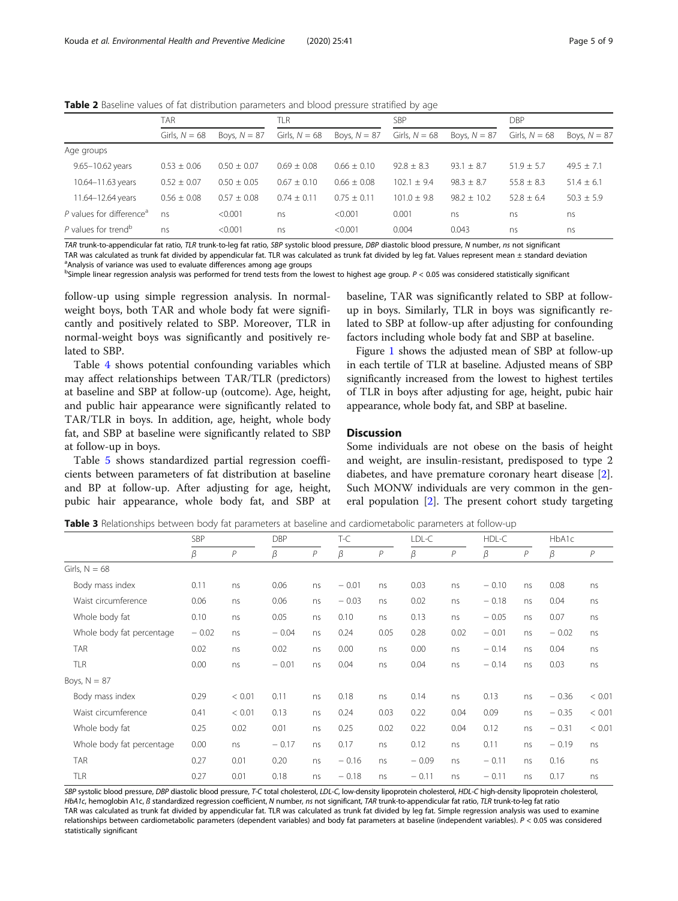<span id="page-4-0"></span>Table 2 Baseline values of fat distribution parameters and blood pressure stratified by age

|                                      | TAR             |                 | <b>TLR</b>      |                | SBP             |                | DBP             |                |  |
|--------------------------------------|-----------------|-----------------|-----------------|----------------|-----------------|----------------|-----------------|----------------|--|
|                                      | Girls, $N = 68$ | Boys, $N = 87$  | Girls, $N = 68$ | Boys, $N = 87$ | Girls, $N = 68$ | Boys, $N = 87$ | Girls, $N = 68$ | Boys, $N = 87$ |  |
| Age groups                           |                 |                 |                 |                |                 |                |                 |                |  |
| 9.65-10.62 years                     | $0.53 \pm 0.06$ | $0.50 \pm 0.07$ | $0.69 \pm 0.08$ | $0.66 + 0.10$  | $92.8 + 8.3$    | $93.1 \pm 8.7$ | $51.9 \pm 5.7$  | $49.5 \pm 7.1$ |  |
| 10.64-11.63 years                    | $0.52 \pm 0.07$ | $0.50 \pm 0.05$ | $0.67 + 0.10$   | $0.66 + 0.08$  | $102.1 \pm 9.4$ | $98.3 \pm 8.7$ | $55.8 \pm 8.3$  | $51.4 \pm 6.1$ |  |
| 11.64-12.64 years                    | $0.56 \pm 0.08$ | $0.57 \pm 0.08$ | $0.74 + 0.11$   | $0.75 + 0.11$  | $101.0 + 9.8$   | $98.2 + 10.2$  | $52.8 + 6.4$    | $50.3 \pm 5.9$ |  |
| P values for difference <sup>a</sup> | ns              | < 0.001         | ns              | < 0.001        | 0.001           | ns             | ns              | ns             |  |
| P values for trend <sup>b</sup>      | ns.             | < 0.001         | ns              | < 0.001        | 0.004           | 0.043          | ns              | ns             |  |

TAR trunk-to-appendicular fat ratio, TLR trunk-to-leg fat ratio, SBP systolic blood pressure, DBP diastolic blood pressure, N number, ns not significant TAR was calculated as trunk fat divided by appendicular fat. TLR was calculated as trunk fat divided by leg fat. Values represent mean ± standard deviation

<sup>a</sup>Analysis of variance was used to evaluate differences among age groups

<sup>b</sup>Simple linear regression analysis was performed for trend tests from the lowest to highest age group. P < 0.05 was considered statistically significant

follow-up using simple regression analysis. In normalweight boys, both TAR and whole body fat were significantly and positively related to SBP. Moreover, TLR in normal-weight boys was significantly and positively related to SBP.

Table [4](#page-5-0) shows potential confounding variables which may affect relationships between TAR/TLR (predictors) at baseline and SBP at follow-up (outcome). Age, height, and public hair appearance were significantly related to TAR/TLR in boys. In addition, age, height, whole body fat, and SBP at baseline were significantly related to SBP at follow-up in boys.

Table [5](#page-5-0) shows standardized partial regression coefficients between parameters of fat distribution at baseline and BP at follow-up. After adjusting for age, height, pubic hair appearance, whole body fat, and SBP at

baseline, TAR was significantly related to SBP at followup in boys. Similarly, TLR in boys was significantly related to SBP at follow-up after adjusting for confounding factors including whole body fat and SBP at baseline.

Figure [1](#page-5-0) shows the adjusted mean of SBP at follow-up in each tertile of TLR at baseline. Adjusted means of SBP significantly increased from the lowest to highest tertiles of TLR in boys after adjusting for age, height, pubic hair appearance, whole body fat, and SBP at baseline.

#### Discussion

Some individuals are not obese on the basis of height and weight, are insulin-resistant, predisposed to type 2 diabetes, and have premature coronary heart disease [\[2](#page-7-0)]. Such MONW individuals are very common in the general population [[2\]](#page-7-0). The present cohort study targeting

Table 3 Relationships between body fat parameters at baseline and cardiometabolic parameters at follow-up

|                           | <b>SBP</b> |                | <b>DBP</b> |                | $T-C$   |                | LDL-C   |              | HDL-C   |              | HbA1c   |        |
|---------------------------|------------|----------------|------------|----------------|---------|----------------|---------|--------------|---------|--------------|---------|--------|
|                           | β          | $\overline{P}$ | β          | $\overline{P}$ | β       | $\overline{P}$ | β       | $\mathcal P$ | β       | $\mathcal P$ | β       | P      |
| Girls, $N = 68$           |            |                |            |                |         |                |         |              |         |              |         |        |
| Body mass index           | 0.11       | ns             | 0.06       | ns             | $-0.01$ | ns             | 0.03    | ns           | $-0.10$ | ns           | 0.08    | ns     |
| Waist circumference       | 0.06       | ns             | 0.06       | ns             | $-0.03$ | ns             | 0.02    | ns           | $-0.18$ | ns           | 0.04    | ns     |
| Whole body fat            | 0.10       | ns             | 0.05       | ns             | 0.10    | ns             | 0.13    | ns           | $-0.05$ | ns           | 0.07    | ns     |
| Whole body fat percentage | $-0.02$    | ns             | $-0.04$    | ns             | 0.24    | 0.05           | 0.28    | 0.02         | $-0.01$ | ns           | $-0.02$ | ns     |
| <b>TAR</b>                | 0.02       | ns             | 0.02       | ns             | 0.00    | ns             | 0.00    | ns           | $-0.14$ | ns           | 0.04    | ns     |
| TLR                       | 0.00       | ns             | $-0.01$    | ns             | 0.04    | ns             | 0.04    | ns           | $-0.14$ | ns           | 0.03    | ns     |
| Boys, $N = 87$            |            |                |            |                |         |                |         |              |         |              |         |        |
| Body mass index           | 0.29       | < 0.01         | 0.11       | ns             | 0.18    | ns             | 0.14    | ns           | 0.13    | ns           | $-0.36$ | < 0.01 |
| Waist circumference       | 0.41       | < 0.01         | 0.13       | ns             | 0.24    | 0.03           | 0.22    | 0.04         | 0.09    | ns           | $-0.35$ | < 0.01 |
| Whole body fat            | 0.25       | 0.02           | 0.01       | ns             | 0.25    | 0.02           | 0.22    | 0.04         | 0.12    | ns           | $-0.31$ | < 0.01 |
| Whole body fat percentage | 0.00       | ns             | $-0.17$    | ns             | 0.17    | ns             | 0.12    | ns           | 0.11    | ns           | $-0.19$ | ns     |
| <b>TAR</b>                | 0.27       | 0.01           | 0.20       | ns             | $-0.16$ | ns             | $-0.09$ | ns           | $-0.11$ | ns           | 0.16    | ns     |
| <b>TLR</b>                | 0.27       | 0.01           | 0.18       | ns             | $-0.18$ | ns             | $-0.11$ | ns           | $-0.11$ | ns           | 0.17    | ns     |

SBP systolic blood pressure, DBP diastolic blood pressure, T-C total cholesterol, LDL-C, low-density lipoprotein cholesterol, HDL-C high-density lipoprotein cholesterol, HbA1c, hemoglobin A1c, ß standardized regression coefficient, N number, ns not significant, TAR trunk-to-appendicular fat ratio, TLR trunk-to-leg fat ratio TAR was calculated as trunk fat divided by appendicular fat. TLR was calculated as trunk fat divided by leg fat. Simple regression analysis was used to examine relationships between cardiometabolic parameters (dependent variables) and body fat parameters at baseline (independent variables). P < 0.05 was considered statistically significant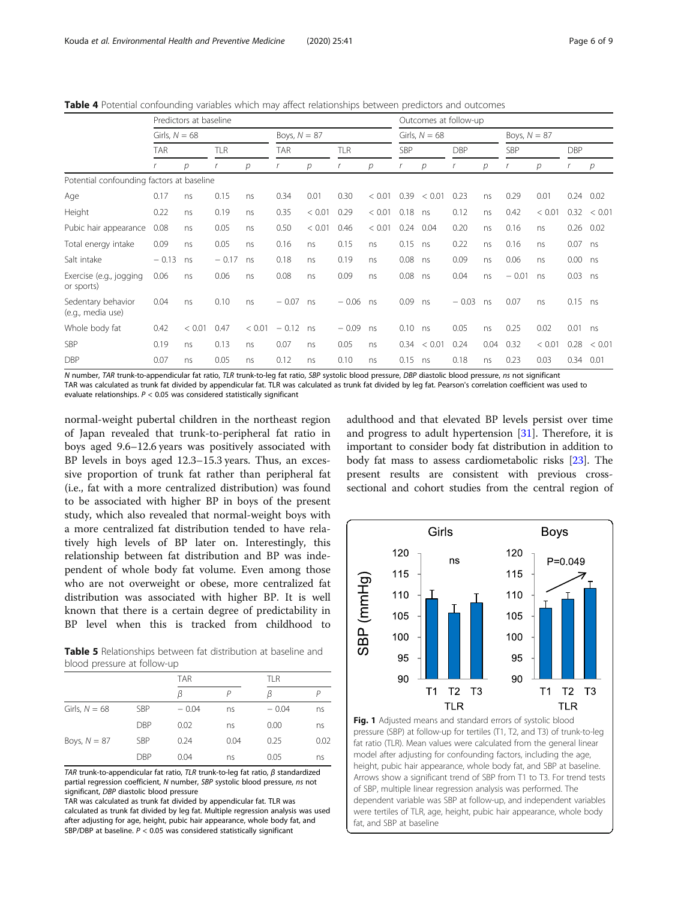<span id="page-5-0"></span>Table 4 Potential confounding variables which may affect relationships between predictors and outcomes

|                                           | Predictors at baseline |        |            |        |                |        |            | Outcomes at follow-up |            |                  |                |      |            |        |            |                  |
|-------------------------------------------|------------------------|--------|------------|--------|----------------|--------|------------|-----------------------|------------|------------------|----------------|------|------------|--------|------------|------------------|
|                                           | Girls, $N = 68$        |        |            |        | Boys, $N = 87$ |        |            | Girls, $N = 68$       |            |                  | Boys, $N = 87$ |      |            |        |            |                  |
|                                           | TAR                    |        | <b>TLR</b> |        | <b>TAR</b>     |        | <b>TLR</b> |                       | <b>SBP</b> |                  | <b>DBP</b>     |      | <b>SBP</b> |        | <b>DBP</b> |                  |
|                                           |                        | р      |            | р      |                | р      |            | р                     |            | р                |                | р    |            | р      |            | р                |
| Potential confounding factors at baseline |                        |        |            |        |                |        |            |                       |            |                  |                |      |            |        |            |                  |
| Age                                       | 0.17                   | ns     | 0.15       | ns     | 0.34           | 0.01   | 0.30       | < 0.01                | 0.39       | < 0.01           | 0.23           | ns   | 0.29       | 0.01   |            | $0.24$ 0.02      |
| Height                                    | 0.22                   | ns     | 0.19       | ns     | 0.35           | < 0.01 | 0.29       | < 0.01                | 0.18       | ns               | 0.12           | ns   | 0.42       | < 0.01 |            | $0.32 \div 0.01$ |
| Pubic hair appearance                     | 0.08                   | ns     | 0.05       | ns     | 0.50           | < 0.01 | 0.46       | < 0.01                | 0.24       | 0.04             | 0.20           | ns   | 0.16       | ns     |            | $0.26$ 0.02      |
| Total energy intake                       | 0.09                   | ns     | 0.05       | ns     | 0.16           | ns     | 0.15       | ns                    | 0.15       | ns               | 0.22           | ns   | 0.16       | ns     | 0.07       | ns               |
| Salt intake                               | $-0.13$                | ns     | $-0.17$    | ns     | 0.18           | ns     | 0.19       | ns                    | 0.08       | ns               | 0.09           | ns   | 0.06       | ns     | $0.00$ ns  |                  |
| Exercise (e.g., jogging<br>or sports)     | 0.06                   | ns     | 0.06       | ns     | 0.08           | ns     | 0.09       | ns                    | 0.08       | ns               | 0.04           | ns   | $-0.01$    | ns     | $0.03$ ns  |                  |
| Sedentary behavior<br>(e.g., media use)   | 0.04                   | ns     | 0.10       | ns     | $-0.07$        | ns     | $-0.06$ ns |                       | 0.09       | ns               | $-0.03$        | ns   | 0.07       | ns     | $0.15$ ns  |                  |
| Whole body fat                            | 0.42                   | < 0.01 | 0.47       | < 0.01 | $-0.12$        | ns     | $-0.09$    | ns                    | 0.10       | ns               | 0.05           | ns   | 0.25       | 0.02   | 0.01       | ns               |
| <b>SBP</b>                                | 0.19                   | ns     | 0.13       | ns     | 0.07           | ns     | 0.05       | ns                    |            | $0.34 \leq 0.01$ | 0.24           | 0.04 | 0.32       | < 0.01 | 0.28       | < 0.01           |
| <b>DBP</b>                                | 0.07                   | ns     | 0.05       | ns     | 0.12           | ns     | 0.10       | ns                    | 0.15       | ns               | 0.18           | ns   | 0.23       | 0.03   | 0.34       | 0.01             |

N number, TAR trunk-to-appendicular fat ratio, TLR trunk-to-leg fat ratio, SBP systolic blood pressure, DBP diastolic blood pressure, ns not significant TAR was calculated as trunk fat divided by appendicular fat. TLR was calculated as trunk fat divided by leg fat. Pearson's correlation coefficient was used to evaluate relationships. P < 0.05 was considered statistically significant

normal-weight pubertal children in the northeast region of Japan revealed that trunk-to-peripheral fat ratio in boys aged 9.6–12.6 years was positively associated with BP levels in boys aged 12.3–15.3 years. Thus, an excessive proportion of trunk fat rather than peripheral fat (i.e., fat with a more centralized distribution) was found to be associated with higher BP in boys of the present study, which also revealed that normal-weight boys with a more centralized fat distribution tended to have relatively high levels of BP later on. Interestingly, this relationship between fat distribution and BP was independent of whole body fat volume. Even among those who are not overweight or obese, more centralized fat distribution was associated with higher BP. It is well known that there is a certain degree of predictability in BP level when this is tracked from childhood to

Table 5 Relationships between fat distribution at baseline and blood pressure at follow-up

|                 |            | <b>TAR</b> |      | TLR     |      |
|-----------------|------------|------------|------|---------|------|
|                 |            | ß          |      | ß       |      |
| Girls, $N = 68$ | <b>SBP</b> | $-0.04$    | ns   | $-0.04$ | ns   |
|                 | <b>DBP</b> | 0.02       | ns   | 0.00    | ns   |
| Boys, $N = 87$  | SBP        | 0.24       | 0.04 | 0.25    | 0.02 |
|                 | <b>DBP</b> | 0.04       | ns   | 0.05    | ns   |

TAR trunk-to-appendicular fat ratio, TLR trunk-to-leg fat ratio,  $\beta$  standardized partial regression coefficient, N number, SBP systolic blood pressure, ns not significant, DBP diastolic blood pressure

TAR was calculated as trunk fat divided by appendicular fat. TLR was calculated as trunk fat divided by leg fat. Multiple regression analysis was used after adjusting for age, height, pubic hair appearance, whole body fat, and SBP/DBP at baseline.  $P < 0.05$  was considered statistically significant

adulthood and that elevated BP levels persist over time and progress to adult hypertension  $[31]$  $[31]$  $[31]$ . Therefore, it is important to consider body fat distribution in addition to body fat mass to assess cardiometabolic risks [\[23\]](#page-8-0). The present results are consistent with previous crosssectional and cohort studies from the central region of



Fig. 1 Adjusted means and standard errors of systolic blood pressure (SBP) at follow-up for tertiles (T1, T2, and T3) of trunk-to-leg fat ratio (TLR). Mean values were calculated from the general linear model after adjusting for confounding factors, including the age, height, pubic hair appearance, whole body fat, and SBP at baseline. Arrows show a significant trend of SBP from T1 to T3. For trend tests of SBP, multiple linear regression analysis was performed. The dependent variable was SBP at follow-up, and independent variables were tertiles of TLR, age, height, pubic hair appearance, whole body fat, and SBP at baseline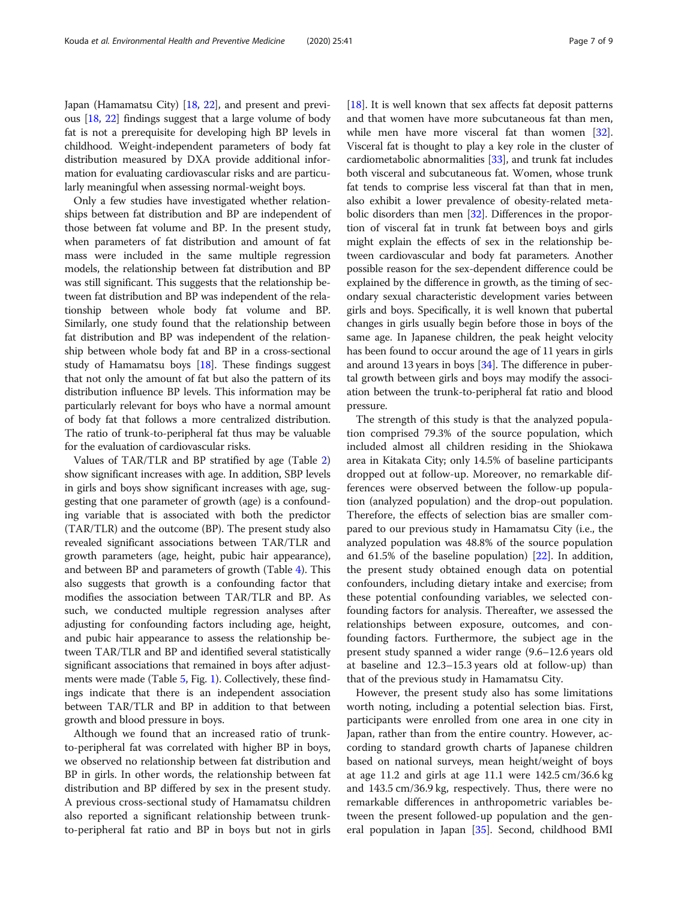Japan (Hamamatsu City) [[18](#page-8-0), [22\]](#page-8-0), and present and previous [\[18,](#page-8-0) [22](#page-8-0)] findings suggest that a large volume of body fat is not a prerequisite for developing high BP levels in childhood. Weight-independent parameters of body fat distribution measured by DXA provide additional information for evaluating cardiovascular risks and are particularly meaningful when assessing normal-weight boys.

Only a few studies have investigated whether relationships between fat distribution and BP are independent of those between fat volume and BP. In the present study, when parameters of fat distribution and amount of fat mass were included in the same multiple regression models, the relationship between fat distribution and BP was still significant. This suggests that the relationship between fat distribution and BP was independent of the relationship between whole body fat volume and BP. Similarly, one study found that the relationship between fat distribution and BP was independent of the relationship between whole body fat and BP in a cross-sectional study of Hamamatsu boys  $[18]$  $[18]$  $[18]$ . These findings suggest that not only the amount of fat but also the pattern of its distribution influence BP levels. This information may be particularly relevant for boys who have a normal amount of body fat that follows a more centralized distribution. The ratio of trunk-to-peripheral fat thus may be valuable for the evaluation of cardiovascular risks.

Values of TAR/TLR and BP stratified by age (Table [2](#page-4-0)) show significant increases with age. In addition, SBP levels in girls and boys show significant increases with age, suggesting that one parameter of growth (age) is a confounding variable that is associated with both the predictor (TAR/TLR) and the outcome (BP). The present study also revealed significant associations between TAR/TLR and growth parameters (age, height, pubic hair appearance), and between BP and parameters of growth (Table [4\)](#page-5-0). This also suggests that growth is a confounding factor that modifies the association between TAR/TLR and BP. As such, we conducted multiple regression analyses after adjusting for confounding factors including age, height, and pubic hair appearance to assess the relationship between TAR/TLR and BP and identified several statistically significant associations that remained in boys after adjust-ments were made (Table [5](#page-5-0), Fig. [1](#page-5-0)). Collectively, these findings indicate that there is an independent association between TAR/TLR and BP in addition to that between growth and blood pressure in boys.

Although we found that an increased ratio of trunkto-peripheral fat was correlated with higher BP in boys, we observed no relationship between fat distribution and BP in girls. In other words, the relationship between fat distribution and BP differed by sex in the present study. A previous cross-sectional study of Hamamatsu children also reported a significant relationship between trunkto-peripheral fat ratio and BP in boys but not in girls [ $18$ ]. It is well known that sex affects fat deposit patterns and that women have more subcutaneous fat than men, while men have more visceral fat than women [[32](#page-8-0)]. Visceral fat is thought to play a key role in the cluster of cardiometabolic abnormalities [[33](#page-8-0)], and trunk fat includes both visceral and subcutaneous fat. Women, whose trunk fat tends to comprise less visceral fat than that in men, also exhibit a lower prevalence of obesity-related meta-bolic disorders than men [\[32](#page-8-0)]. Differences in the proportion of visceral fat in trunk fat between boys and girls might explain the effects of sex in the relationship between cardiovascular and body fat parameters. Another possible reason for the sex-dependent difference could be explained by the difference in growth, as the timing of secondary sexual characteristic development varies between girls and boys. Specifically, it is well known that pubertal changes in girls usually begin before those in boys of the same age. In Japanese children, the peak height velocity has been found to occur around the age of 11 years in girls and around 13 years in boys  $[34]$  $[34]$  $[34]$ . The difference in pubertal growth between girls and boys may modify the association between the trunk-to-peripheral fat ratio and blood pressure.

The strength of this study is that the analyzed population comprised 79.3% of the source population, which included almost all children residing in the Shiokawa area in Kitakata City; only 14.5% of baseline participants dropped out at follow-up. Moreover, no remarkable differences were observed between the follow-up population (analyzed population) and the drop-out population. Therefore, the effects of selection bias are smaller compared to our previous study in Hamamatsu City (i.e., the analyzed population was 48.8% of the source population and 61.5% of the baseline population) [\[22\]](#page-8-0). In addition, the present study obtained enough data on potential confounders, including dietary intake and exercise; from these potential confounding variables, we selected confounding factors for analysis. Thereafter, we assessed the relationships between exposure, outcomes, and confounding factors. Furthermore, the subject age in the present study spanned a wider range (9.6–12.6 years old at baseline and 12.3–15.3 years old at follow-up) than that of the previous study in Hamamatsu City.

However, the present study also has some limitations worth noting, including a potential selection bias. First, participants were enrolled from one area in one city in Japan, rather than from the entire country. However, according to standard growth charts of Japanese children based on national surveys, mean height/weight of boys at age 11.2 and girls at age 11.1 were 142.5 cm/36.6 kg and 143.5 cm/36.9 kg, respectively. Thus, there were no remarkable differences in anthropometric variables between the present followed-up population and the general population in Japan [[35](#page-8-0)]. Second, childhood BMI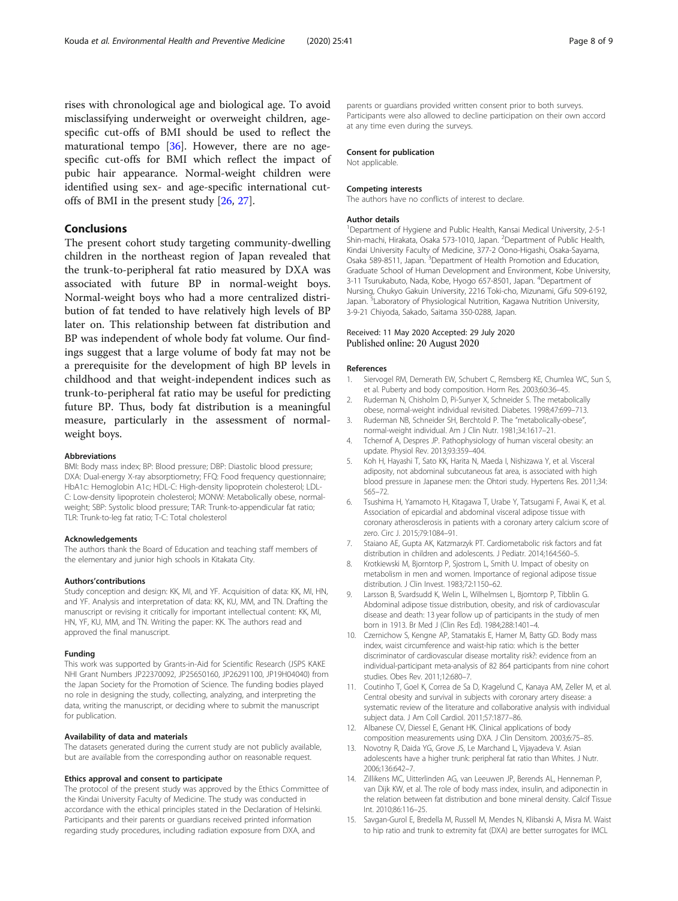<span id="page-7-0"></span>rises with chronological age and biological age. To avoid misclassifying underweight or overweight children, agespecific cut-offs of BMI should be used to reflect the maturational tempo  $[36]$  $[36]$ . However, there are no agespecific cut-offs for BMI which reflect the impact of pubic hair appearance. Normal-weight children were identified using sex- and age-specific international cutoffs of BMI in the present study [\[26,](#page-8-0) [27\]](#page-8-0).

#### Conclusions

The present cohort study targeting community-dwelling children in the northeast region of Japan revealed that the trunk-to-peripheral fat ratio measured by DXA was associated with future BP in normal-weight boys. Normal-weight boys who had a more centralized distribution of fat tended to have relatively high levels of BP later on. This relationship between fat distribution and BP was independent of whole body fat volume. Our findings suggest that a large volume of body fat may not be a prerequisite for the development of high BP levels in childhood and that weight-independent indices such as trunk-to-peripheral fat ratio may be useful for predicting future BP. Thus, body fat distribution is a meaningful measure, particularly in the assessment of normalweight boys.

#### Abbreviations

BMI: Body mass index; BP: Blood pressure; DBP: Diastolic blood pressure; DXA: Dual-energy X-ray absorptiometry; FFQ: Food frequency questionnaire; HbA1c: Hemoglobin A1c; HDL-C: High-density lipoprotein cholesterol; LDL-C: Low-density lipoprotein cholesterol; MONW: Metabolically obese, normalweight; SBP: Systolic blood pressure; TAR: Trunk-to-appendicular fat ratio; TLR: Trunk-to-leg fat ratio; T-C: Total cholesterol

#### Acknowledgements

The authors thank the Board of Education and teaching staff members of the elementary and junior high schools in Kitakata City.

#### Authors'contributions

Study conception and design: KK, MI, and YF. Acquisition of data: KK, MI, HN, and YF. Analysis and interpretation of data: KK, KU, MM, and TN. Drafting the manuscript or revising it critically for important intellectual content: KK, MI, HN, YF, KU, MM, and TN. Writing the paper: KK. The authors read and approved the final manuscript.

#### Funding

This work was supported by Grants-in-Aid for Scientific Research (JSPS KAKE NHI Grant Numbers JP22370092, JP25650160, JP26291100, JP19H04040) from the Japan Society for the Promotion of Science. The funding bodies played no role in designing the study, collecting, analyzing, and interpreting the data, writing the manuscript, or deciding where to submit the manuscript for publication.

#### Availability of data and materials

The datasets generated during the current study are not publicly available, but are available from the corresponding author on reasonable request.

#### Ethics approval and consent to participate

The protocol of the present study was approved by the Ethics Committee of the Kindai University Faculty of Medicine. The study was conducted in accordance with the ethical principles stated in the Declaration of Helsinki. Participants and their parents or guardians received printed information regarding study procedures, including radiation exposure from DXA, and

parents or guardians provided written consent prior to both surveys. Participants were also allowed to decline participation on their own accord at any time even during the surveys.

#### Consent for publication

Not applicable.

#### Competing interests

The authors have no conflicts of interest to declare.

#### Author details

<sup>1</sup> Department of Hygiene and Public Health, Kansai Medical University, 2-5-1 Shin-machi, Hirakata, Osaka 573-1010, Japan. <sup>2</sup>Department of Public Health Kindai University Faculty of Medicine, 377-2 Oono-Higashi, Osaka-Sayama, Osaka 589-8511, Japan. <sup>3</sup>Department of Health Promotion and Education Graduate School of Human Development and Environment, Kobe University, 3-11 Tsurukabuto, Nada, Kobe, Hyogo 657-8501, Japan. <sup>4</sup>Department of Nursing, Chukyo Gakuin University, 2216 Toki-cho, Mizunami, Gifu 509-6192, Japan.<sup>5</sup> Laboratory of Physiological Nutrition, Kagawa Nutrition University 3-9-21 Chiyoda, Sakado, Saitama 350-0288, Japan.

# Received: 11 May 2020 Accepted: 29 July 2020<br>Published online: 20 August 2020

#### References

- 1. Siervogel RM, Demerath EW, Schubert C, Remsberg KE, Chumlea WC, Sun S, et al. Puberty and body composition. Horm Res. 2003;60:36–45.
- 2. Ruderman N, Chisholm D, Pi-Sunyer X, Schneider S. The metabolically obese, normal-weight individual revisited. Diabetes. 1998;47:699–713.
- 3. Ruderman NB, Schneider SH, Berchtold P. The "metabolically-obese", normal-weight individual. Am J Clin Nutr. 1981;34:1617–21.
- 4. Tchernof A, Despres JP. Pathophysiology of human visceral obesity: an update. Physiol Rev. 2013;93:359–404.
- Koh H, Hayashi T, Sato KK, Harita N, Maeda I, Nishizawa Y, et al. Visceral adiposity, not abdominal subcutaneous fat area, is associated with high blood pressure in Japanese men: the Ohtori study. Hypertens Res. 2011;34: 565–72.
- 6. Tsushima H, Yamamoto H, Kitagawa T, Urabe Y, Tatsugami F, Awai K, et al. Association of epicardial and abdominal visceral adipose tissue with coronary atherosclerosis in patients with a coronary artery calcium score of zero. Circ J. 2015;79:1084–91.
- 7. Staiano AE, Gupta AK, Katzmarzyk PT. Cardiometabolic risk factors and fat distribution in children and adolescents. J Pediatr. 2014;164:560–5.
- 8. Krotkiewski M, Bjorntorp P, Sjostrom L, Smith U. Impact of obesity on metabolism in men and women. Importance of regional adipose tissue distribution. J Clin Invest. 1983;72:1150–62.
- Larsson B, Svardsudd K, Welin L, Wilhelmsen L, Bjorntorp P, Tibblin G. Abdominal adipose tissue distribution, obesity, and risk of cardiovascular disease and death: 13 year follow up of participants in the study of men born in 1913. Br Med J (Clin Res Ed). 1984;288:1401–4.
- 10. Czernichow S, Kengne AP, Stamatakis E, Hamer M, Batty GD. Body mass index, waist circumference and waist-hip ratio: which is the better discriminator of cardiovascular disease mortality risk?: evidence from an individual-participant meta-analysis of 82 864 participants from nine cohort studies. Obes Rev. 2011;12:680–7.
- 11. Coutinho T, Goel K, Correa de Sa D, Kragelund C, Kanaya AM, Zeller M, et al. Central obesity and survival in subjects with coronary artery disease: a systematic review of the literature and collaborative analysis with individual subject data. J Am Coll Cardiol. 2011;57:1877–86.
- 12. Albanese CV, Diessel E, Genant HK. Clinical applications of body composition measurements using DXA. J Clin Densitom. 2003;6:75–85.
- 13. Novotny R, Daida YG, Grove JS, Le Marchand L, Vijayadeva V. Asian adolescents have a higher trunk: peripheral fat ratio than Whites. J Nutr. 2006;136:642–7.
- 14. Zillikens MC, Uitterlinden AG, van Leeuwen JP, Berends AL, Henneman P, van Dijk KW, et al. The role of body mass index, insulin, and adiponectin in the relation between fat distribution and bone mineral density. Calcif Tissue Int. 2010;86:116–25.
- 15. Savgan-Gurol E, Bredella M, Russell M, Mendes N, Klibanski A, Misra M. Waist to hip ratio and trunk to extremity fat (DXA) are better surrogates for IMCL